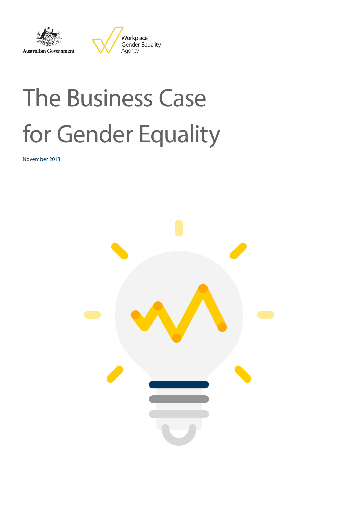



# The Business Case for Gender Equality

November 2018

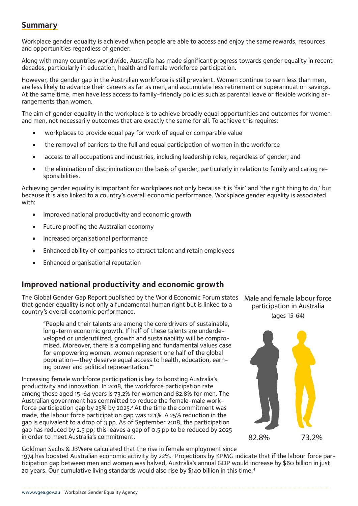## <span id="page-1-0"></span>**Summary**

Workplace gender equality is achieved when people are able to access and enjoy the same rewards, resources and opportunities regardless of gender.

Along with many countries worldwide, Australia has made significant progress towards gender equality in recent decades, particularly in education, health and female workforce participation.

However, the gender gap in the Australian workforce is still prevalent. Women continue to earn less than men, are less likely to advance their careers as far as men, and accumulate less retirement or superannuation savings. At the same time, men have less access to family-friendly policies such as parental leave or flexible working arrangements than women.

The aim of gender equality in the workplace is to achieve broadly equal opportunities and outcomes for women and men, not necessarily outcomes that are exactly the same for all. To achieve this requires:

- workplaces to provide equal pay for work of equal or comparable value
- the removal of barriers to the full and equal participation of women in the workforce
- access to all occupations and industries, including leadership roles, regardless of gender; and
- the elimination of discrimination on the basis of gender, particularly in relation to family and caring responsibilities.

Achieving gender equality is important for workplaces not only because it is 'fair' and 'the right thing to do,' but because it is also linked to a country's overall economic performance. Workplace gender equality is associated with:

- Improved national productivity and economic growth
- Future proofing the Australian economy
- Increased organisational performance
- Enhanced ability of companies to attract talent and retain employees
- Enhanced organisational reputation

## **Improved national productivity and economic growth**

The Global Gender Gap Report published by the World Economic Forum states that gender equality is not only a fundamental human right but is linked to a country's overall economic performance.

"People and their talents are among the core drivers of sustainable, long-term economic growth. If half of these talents are underdeveloped or underutilized, growth and sustainability will be compromised. Moreover, there is a compelling and fundamental values case for empowering women: women represent one half of the global population—they deserve equal access to health, education, earning power and political representation.["1](#page-5-0)

Increasing female workforce participation is key to boosting Australia's productivity and innovation. In 2018, the workforce participation rate among those aged 15-64 years is 73.2% for women and 82.8% for men. The Australian government has committed to reduce the female-male workforce participation gap by  $25\%$  $25\%$  by  $2025$ .<sup>2</sup> At the time the commitment was made, the labour force participation gap was 12.1%. A 25% reduction in the gap is equivalent to a drop of 3 pp. As of September 2018, the participation gap has reduced by 2.5 pp; this leaves a gap of 0.5 pp to be reduced by 2025 in order to meet Australia's commitment.

Male and female labour force participation in Australia (ages 15-64)



Goldman Sachs & JBWere calculated that the rise in female employment since 1974 has boosted Australian economic activity by 22%.<sup>[3](#page-5-0)</sup> Projections by KPMG indicate that if the labour force participation gap between men and women was halved, Australia's annual GDP would increase by \$60 billion in just 20 years. Our cumulative living standards would also rise by \$140 billion in this time.[4](#page-5-0)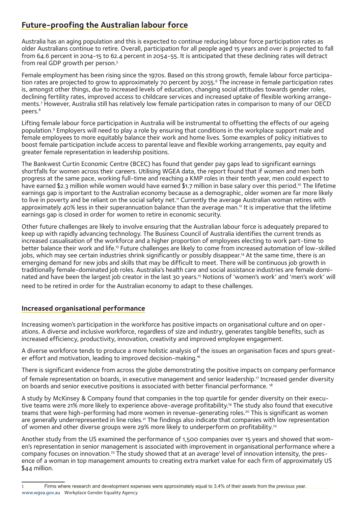# <span id="page-2-0"></span>**Future-proofing the Australian labour force**

Australia has an aging population and this is expected to continue reducing labour force participation rates as older Australians continue to retire. Overall, participation for all people aged 15 years and over is projected to fall from 64.6 percent in 2014-15 to 62.4 percent in 2054-55. It is anticipated that these declining rates will detract from real GDP growth per person[.5](#page-5-0)

Female employment has been rising since the 1970s. Based on this strong growth, female labour force participation rates are projected to grow to approximately 70 percent by 2055.<sup>6</sup> The increase in female participation rates is, amongst other things, due to increased levels of education, changing social attitudes towards gender roles, declining fertility rates, improved access to childcare services and increased uptake of flexible working arrangements.[7](#page-5-0) However, Australia still has relatively low female participation rates in comparison to many of our OECD peers[.8](#page-5-0)

Lifting female labour force participation in Australia will be instrumental to offsetting the effects of our ageing population.<sup>[9](#page-5-0)</sup> Employers will need to play a role by ensuring that conditions in the workplace support male and female employees to more equitably balance their work and home lives. Some examples of policy initiatives to boost female participation include access to parental leave and flexible working arrangements, pay equity and greater female representation in leadership positions.

The Bankwest Curtin Economic Centre (BCEC) has found that gender pay gaps lead to significant earnings shortfalls for women across their careers. Utilising WGEA data, the report found that if women and men both progress at the same pace, working full-time and reaching a KMP roles in their tenth year, men could expect to have earned \$2.3 million while women would have earned \$1.7 million in base salary over this period.<sup>10</sup> The lifetime earnings gap is important to the Australian economy because as a demographic, older women are far more likely to live in poverty and be reliant on the social safety net.<sup>11</sup> Currently the average Australian woman retires with approximately 40% less in their superannuation balance than the average man.[12](#page-5-0) It is imperative that the lifetime earnings gap is closed in order for women to retire in economic security.

Other future challenges are likely to involve ensuring that the Australian labour force is adequately prepared to keep up with rapidly advancing technology. The Business Council of Australia identifies the current trends as increased casualisation of the workforce and a higher proportion of employees electing to work part-time to better balance their work and life.<sup>13</sup> Future challenges are likely to come from increased automation of low-skilled jobs, which may see certain industries shrink significantly or possibly disappear.<sup>14</sup> At the same time, there is an emerging demand for new jobs and skills that may be difficult to meet. There will be continuous job growth in traditionally female-dominated job roles. Australia's health care and social assistance industries are female dominated and have been the largest job creator in the last 30 years.<sup>15</sup> Notions of 'women's work' and 'men's work' will need to be retired in order for the Australian economy to adapt to these challenges.

#### **Increased organisational performance**

Increasing women's participation in the workforce has positive impacts on organisational culture and on operations. A diverse and inclusive workforce, regardless of size and industry, generates tangible benefits, such as increased efficiency, productivity, innovation, creativity and improved employee engagement.

A diverse workforce tends to produce a more holistic analysis of the issues an organisation faces and spurs greater effort and motivation, leading to improved decision-making[.16](#page-5-0)

There is significant evidence from across the globe demonstrating the positive impacts on company performance of female representation on boards, in executive management and senior leadership[.17](#page-5-0) Increased gender diversity on boards and senior executive positions is associated with better financial performance. [18](#page-5-0)

A study by McKinsey & Company found that companies in the top quartile for gender diversity on their execu-tive teams were 21% more likely to experience above-average profitability.<sup>[19](#page-5-0)</sup> The study also found that executive teams that were high-performing had more women in revenue-generating roles.<sup>20</sup> This is significant as women are generally underrepresented in line roles.<sup>21</sup> The findings also indicate that companies with low representation of women and other diverse groups were 29% more likely to underperform on profitability.<sup>22</sup>

Another study from the US examined the performance of 1,500 companies over 15 years and showed that women's representation in senior management is associated with improvement in organisational performance where a company focuses on innovation.<sup>23</sup> The study showed that at an average<sup>1</sup> level of innovation intensity, the presence of a woman in top management amounts to creating extra market value for each firm of approximately US \$44 million.

<sup>1</sup> Firms where research and development expenses were approximately equal to 3.4% of their assets from the previous year. www.wgea.gov.au Workplace Gender Equality Agency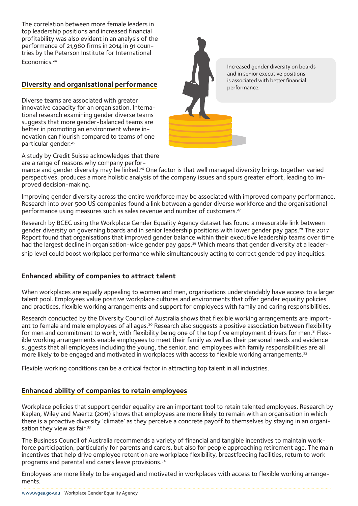<span id="page-3-0"></span>The correlation between more female leaders in top leadership positions and increased financial profitability was also evident in an analysis of the performance of 21,980 firms in 2014 in 91 countries by the Peterson Institute for International Economics.<sup>[24](#page-5-0)</sup>

#### **Diversity and organisational performance**

Diverse teams are associated with greater innovative capacity for an organisation. International research examining gender diverse teams suggests that more gender-balanced teams are better in promoting an environment where innovation can flourish compared to teams of one particular gender.<sup>[25](#page-5-0)</sup>

A study by Credit Suisse acknowledges that there are a range of reasons why company perfor-



Increased gender diversity on boards and in senior executive positions is associated with better financial

mance and gender diversity may be linked.<sup>26</sup> One factor is that well managed diversity brings together varied perspectives, produces a more holistic analysis of the company issues and spurs greater effort, leading to improved decision-making.

Improving gender diversity across the entire workforce may be associated with improved company performance. Research into over 500 US companies found a link between a gender diverse workforce and the organisational performance using measures such as sales revenue and number of customers.<sup>[27](#page-5-0)</sup>

Research by BCEC using the Workplace Gender Equality Agency dataset has found a measurable link between gender diversity on governing boards and in senior leadership positions with lower gender pay gaps.<sup>[28](#page-5-0)</sup> The 2017 Report found that organisations that improved gender balance within their executive leadership teams over time had the largest decline in organisation-wide gender pay gaps.<sup>[29](#page-5-0)</sup> Which means that gender diversity at a leadership level could boost workplace performance while simultaneously acting to correct gendered pay inequities.

#### **Enhanced ability of companies to attract talent**

When workplaces are equally appealing to women and men, organisations understandably have access to a larger talent pool. Employees value positive workplace cultures and environments that offer gender equality policies and practices, flexible working arrangements and support for employees with family and caring responsibilities.

Research conducted by the Diversity Council of Australia shows that flexible working arrangements are important to female and male employees of all ages.<sup>30</sup> Research also suggests a positive association between flexibility for men and commitment to work, with flexibility being one of the top five employment drivers for men.<sup>31</sup> Flexible working arrangements enable employees to meet their family as well as their personal needs and evidence suggests that all employees including the young, the senior, and employees with family responsibilities are all more likely to be engaged and motivated in workplaces with access to flexible working arrangements.<sup>[32](#page-5-0)</sup>

Flexible working conditions can be a critical factor in attracting top talent in all industries.

#### **Enhanced ability of companies to retain employees**

Workplace policies that support gender equality are an important tool to retain talented employees. Research by Kaplan, Wiley and Maertz (2011) shows that employees are more likely to remain with an organisation in which there is a proactive diversity 'climate' as they perceive a concrete payoff to themselves by staying in an organi-sation they view as fair.<sup>[33](#page-5-0)</sup>

The Business Council of Australia recommends a variety of financial and tangible incentives to maintain workforce participation, particularly for parents and carers, but also for people approaching retirement age. The main incentives that help drive employee retention are workplace flexibility, breastfeeding facilities, return to work programs and parental and carers leave provisions.[34](#page-6-0)

Employees are more likely to be engaged and motivated in workplaces with access to flexible working arrangements.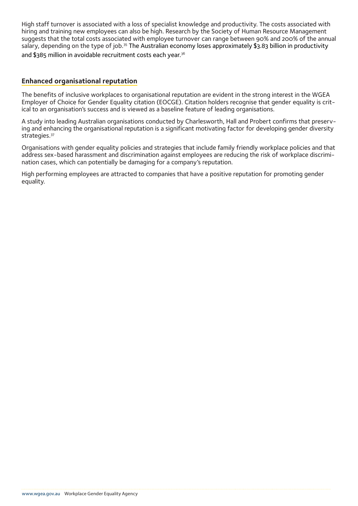<span id="page-4-0"></span>High staff turnover is associated with a loss of specialist knowledge and productivity. The costs associated with hiring and training new employees can also be high. Research by the Society of Human Resource Management suggests that the total costs associated with employee turnover can range between 90% and 200% of the annual salary, depending on the type of job.<sup>[35](#page-6-0)</sup> The Australian economy loses approximately \$3.83 billion in productivity and \$385 million in avoidable recruitment costs each year.<sup>36</sup>

#### **Enhanced organisational reputation**

The benefits of inclusive workplaces to organisational reputation are evident in the strong interest in the WGEA Employer of Choice for Gender Equality citation (EOCGE). Citation holders recognise that gender equality is critical to an organisation's success and is viewed as a baseline feature of leading organisations.

A study into leading Australian organisations conducted by Charlesworth, Hall and Probert confirms that preserving and enhancing the organisational reputation is a significant motivating factor for developing gender diversity strategies.<sup>[37](#page-6-0)</sup>

Organisations with gender equality policies and strategies that include family friendly workplace policies and that address sex-based harassment and discrimination against employees are reducing the risk of workplace discrimination cases, which can potentially be damaging for a company's reputation.

High performing employees are attracted to companies that have a positive reputation for promoting gender equality.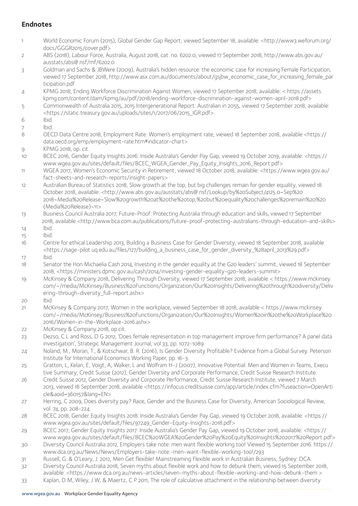### <span id="page-5-0"></span>**Endnotes**

- [1](#page-1-0) World Economic Forum (2015), Global Gender Gap Report, viewed September 18, available: <http://www3.weforum.org/ docs/GGGR2015/cover.pdf>
- [2](#page-1-0) ABS (2018), Labour Force, Australia, August 2018, cat. no. 6202.0, viewed 17 September 2018, http://www.abs.gov.au/ ausstats/abs@.nsf/mf/6202.0
- [3](#page-1-0) Goldman and Sachs & JBWere (2009), Australia's hidden resource: the economic case for increasing Female Participation, viewed 17 September 2018, http://www.asx.com.au/documents/about/gsjbw\_economic\_case\_for\_increasing\_female\_par ticipation.pdf
- [4](#page-1-0) KPMG 2018, Ending Workforce Discrimination Against Women, viewed 17 September 2018, available: < https://assets. kpmg.com/content/dam/kpmg/au/pdf/2018/ending-workforce-discrimination-against-women-april-2018.pdf>
- [5](#page-2-0) Commonwealth of Australia 2015, 2015 Intergenerational Report: Australian in 2055, viewed 17 September 2018, available: <https://static.treasury.gov.au/uploads/sites/1/2017/06/2015\_IGR.pdf>
- [6](#page-2-0) Ibid.
- [7](#page-2-0) Ibid.
- [8](#page-2-0) OECD Data Centre 2018, Employment Rate: Women's employment rate, viewed 18 September 2018, available <https:// data.oecd.org/emp/employment-rate.htm#indicator-chart>
- [9](#page-2-0) KPMG 2018, op. cit.
- [10](#page-2-0) BCEC 2016, Gender Equity Insights 2016: Inside Australia's Gender Pay Gap, viewed 19 October 2019, available: <https:// www.wgea.gov.au/sites/default/files/BCEC\_WGEA\_Gender\_Pay\_Equity\_Insights\_2016\_Report.pdf>
- [11](#page-2-0) WGEA 2017, Women's Economic Security in Retirement, viewed 18 October 2018, available: <https://www.wgea.gov.au/ fact-sheets-and-research-reports/insight-papers>
- [12](#page-2-0) Australian Bureau of Statistics 2018, Slow growth at the top, but big challenges remain for gender equality, viewed 18 October 2018, available: <http://www.abs.gov.au/ausstats/abs@.nsf/Lookup/by%20Subject/4125.0~Sep%20 2018~Media%20Release~Slow%20growth%20at%20the%20top,%20but%20equality%20challenges%20remain%20%20 (Media%20Release)~11>
- [13](#page-2-0) Business Council Australia 2017, Future-Proof: Protecting Australia through education and skills, viewed 17 September 2018, available <http://www.bca.com.au/publications/future-proof-protecting-australians-through-education-and-skills>
- [14](#page-2-0) Ibid.
- [15](#page-2-0) Ibid.
- [16](#page-2-0) Centre for ethical Leadership 2013, Building a Business Case for Gender Diversity, viewed 18 September 2018, available <https://sage-pilot.uq.edu.au/files/127/building\_a\_business\_case\_for\_gender\_diversity\_%28april\_2013%29.pdf>
- [17](#page-2-0) Ibid.
- [18](#page-2-0) Senator the Hon Michaelia Cash 2014, Investing in the gender equality at the G20 leaders' summit, viewed 18 September 2018, <https://ministers.dpmc.gov.au/cash/2014/investing-gender-equality-g20-leaders-summit>
- [19](#page-2-0) McKinsey & Company 2018, Delivering Through Diversity, viewed 17 September 2018, available < https://www.mckinsey. com/~/media/McKinsey/Business%20Functions/Organization/Our%20Insights/Delivering%20through%20diversity/Deliv ering-through-diversity\_full-report.ashx>
- [20](#page-2-0) Ibid.
- [21](#page-2-0) McKinsey & Company 2017, Women in the workplace, viewed September 18 2018, available < https://www.mckinsey. com/~/media/McKinsey/Business%20Functions/Organization/Our%20Insights/Women%20in%20the%20Workplace%20 2016/Women-in-the-Workplace-2016.ashx>
- [22](#page-2-0) McKinsey & Company 2018, op.cit.
- [23](#page-2-0) Dezso, C L and Ross, D G 2012, 'Does female representation in top management improve firm performance? A panel data investigation', Strategic Management Journal, vol 33, pp. 1072-1089
- [24](#page-3-0) Noland, M., Moran, T., & Kotschwar, B. R. (2016), Is Gender Diversity Profitable? Evidence from a Global Survey. Peterson Institute for International Economics Working Paper, pp. 16-3.
- [25](#page-3-0) Gratton, L, Kelan, E, Voigt, A, Walker, L and Wolfram H-J (2007), Innovative Potential: Men and Women in Teams, Execu tive Summary; Credit Suisse (2012), Gender Diversity and Corporate Performance, Credit Suisse Research Institute.
- [26](#page-3-0) Credit Suisse 2012, Gender Diversity and Corporate Performance, Credit Suisse Research Institute, viewed 7 March 2013, viewed 18 September 2018, available <https://infocus.creditsuisse.com/app/article/index.cfm?fuseaction=OpenArti cle&aoid=360157&lang=EN>
- [27](#page-3-0) Herring, C 2009, Does diversity pay? Race, Gender and the Business Case for Diversity, American Sociological Review, vol. 74, pp. 208-224.
- [28](#page-3-0) BCEC 2018, Gender Equity Insights 2018: Inside Australia's Gender Pay Gap, viewed 19 October 2018, available: [<https://](https://www.wgea.gov.au/sites/default/files/97249_Gender-Equity-Insights-2018.pdf) [www.wgea.gov.au/sites/default/files/97249\\_Gender-Equity-Insights-2018.pdf](https://www.wgea.gov.au/sites/default/files/97249_Gender-Equity-Insights-2018.pdf)>
- [29](#page-3-0) BCEC 2017, Gender Equity Insights 2017: Inside Australia's Gender Pay Gap, viewed 19 October 2018, available: <https:// www.wgea.gov.au/sites/default/files/BCEC%20WGEA%20Gender%20Pay%20Equity%20Insights%202017%20Report.pdf>
- [30](#page-3-0) Diversity Council Australia 2012, Employers take note: men want flexible working too! Viewed 15 September 2016. https:// www.dca.org.au/News/News/Employers-take-note:-men-want-flexible-working-too!/293
- [31](#page-3-0) Russell, G. & O'Leary, J. 2012, Men Get flexible! Mainstreaming Flexible work in Australian Business, Sydney: DCA.
- [32](#page-3-0) Diversity Council Australia 2018, Seven myths about flexible work and how to debunk them, viewed 15 September 2018, available: <https://www.dca.org.au/news-articles/seven-myths-about-flexible-working-and-how-debunk-them >
- [33](#page-3-0) Kaplan, D M, Wiley, J W, & Maertz, C P 2011, The role of calculative attachment in the relationship between diversity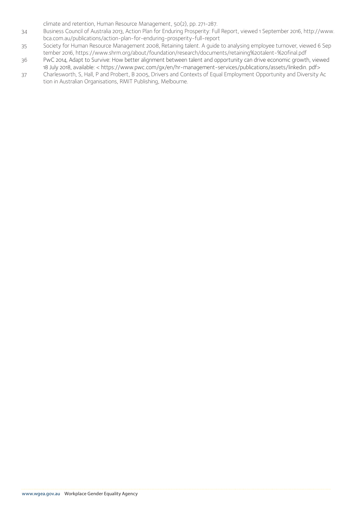climate and retention, Human Resource Management, 50(2), pp. 271-287.

- <span id="page-6-0"></span>[34](#page-3-0) Business Council of Australia 2013, Action Plan for Enduring Prosperity: Full Report, viewed 1 September 2016, http://www. bca.com.au/publications/action-plan-for-enduring-prosperity-full-report
- [35](#page-4-0) Society for Human Resource Management 2008, Retaining talent. A guide to analysing employee turnover, viewed 6 Sep tember 2016, https://www.shrm.org/about/foundation/research/documents/retaining%20talent-%20final.pdf
- [36](#page-4-0) PwC 2014, Adapt to Survive: How better alignment between talent and opportunity can drive economic growth, viewed 18 July 2018, available: < https://www.pwc.com/gx/en/hr-management-services/publications/assets/linkedin. pdf>
- [37](#page-4-0) Charlesworth, S, Hall, P and Probert, B 2005, Drivers and Contexts of Equal Employment Opportunity and Diversity Ac tion in Australian Organisations, RMIT Publishing, Melbourne.